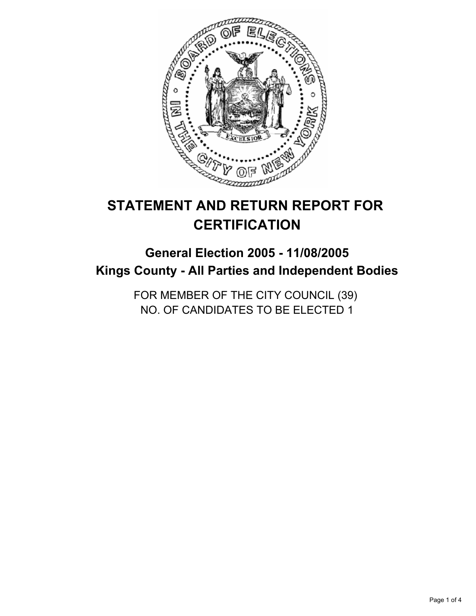

# **STATEMENT AND RETURN REPORT FOR CERTIFICATION**

# **General Election 2005 - 11/08/2005 Kings County - All Parties and Independent Bodies**

FOR MEMBER OF THE CITY COUNCIL (39) NO. OF CANDIDATES TO BE ELECTED 1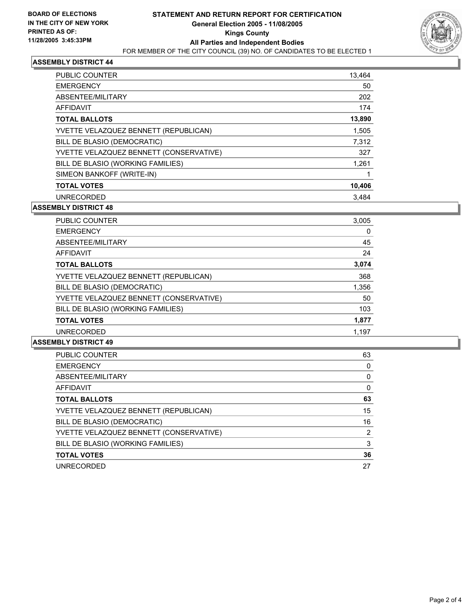

## **ASSEMBLY DISTRICT 44**

| <b>PUBLIC COUNTER</b>                   | 13,464 |
|-----------------------------------------|--------|
| <b>EMERGENCY</b>                        | 50     |
| ABSENTEE/MILITARY                       | 202    |
| AFFIDAVIT                               | 174    |
| <b>TOTAL BALLOTS</b>                    | 13,890 |
| YVETTE VELAZQUEZ BENNETT (REPUBLICAN)   | 1,505  |
| BILL DE BLASIO (DEMOCRATIC)             | 7,312  |
| YVETTE VELAZQUEZ BENNETT (CONSERVATIVE) | 327    |
| BILL DE BLASIO (WORKING FAMILIES)       | 1,261  |
| SIMEON BANKOFF (WRITE-IN)               |        |
| <b>TOTAL VOTES</b>                      | 10,406 |
| <b>UNRECORDED</b>                       | 3.484  |

#### **ASSEMBLY DISTRICT 48**

| PUBLIC COUNTER                          | 3,005 |  |
|-----------------------------------------|-------|--|
| <b>EMERGENCY</b>                        |       |  |
| ABSENTEE/MILITARY                       | 45    |  |
| AFFIDAVIT                               | 24    |  |
| <b>TOTAL BALLOTS</b>                    | 3,074 |  |
| YVETTE VELAZQUEZ BENNETT (REPUBLICAN)   | 368   |  |
| BILL DE BLASIO (DEMOCRATIC)             | 1,356 |  |
| YVETTE VELAZQUEZ BENNETT (CONSERVATIVE) | 50    |  |
| BILL DE BLASIO (WORKING FAMILIES)       | 103   |  |
| <b>TOTAL VOTES</b>                      | 1,877 |  |
| <b>UNRECORDED</b>                       | 1.197 |  |

#### **ASSEMBLY DISTRICT 49**

| PUBLIC COUNTER                          | 63 |
|-----------------------------------------|----|
| <b>EMERGENCY</b>                        |    |
| ABSENTEE/MILITARY                       |    |
| AFFIDAVIT                               |    |
| <b>TOTAL BALLOTS</b>                    | 63 |
| YVETTE VELAZQUEZ BENNETT (REPUBLICAN)   | 15 |
| BILL DE BLASIO (DEMOCRATIC)             | 16 |
| YVETTE VELAZQUEZ BENNETT (CONSERVATIVE) | 2  |
| BILL DE BLASIO (WORKING FAMILIES)       | 3  |
| <b>TOTAL VOTES</b>                      | 36 |
| <b>UNRECORDED</b>                       | 27 |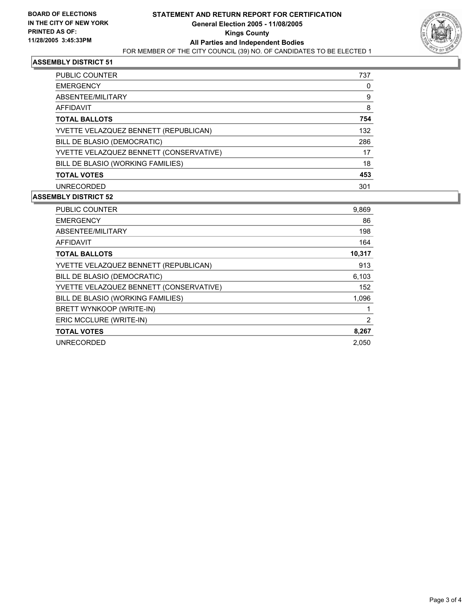

## **ASSEMBLY DISTRICT 51**

| <b>PUBLIC COUNTER</b>                   | 737 |
|-----------------------------------------|-----|
| <b>EMERGENCY</b>                        |     |
| ABSENTEE/MILITARY                       | 9   |
| AFFIDAVIT                               | 8   |
| <b>TOTAL BALLOTS</b>                    | 754 |
| YVETTE VELAZQUEZ BENNETT (REPUBLICAN)   | 132 |
| BILL DE BLASIO (DEMOCRATIC)             | 286 |
| YVETTE VELAZQUEZ BENNETT (CONSERVATIVE) | 17  |
| BILL DE BLASIO (WORKING FAMILIES)       | 18  |
| <b>TOTAL VOTES</b>                      | 453 |
| <b>UNRECORDED</b>                       | 301 |

# **ASSEMBLY DISTRICT 52**

| PUBLIC COUNTER                          | 9,869  |
|-----------------------------------------|--------|
| <b>EMERGENCY</b>                        | 86     |
| ABSENTEE/MILITARY                       | 198    |
| AFFIDAVIT                               | 164    |
| <b>TOTAL BALLOTS</b>                    | 10,317 |
| YVETTE VELAZQUEZ BENNETT (REPUBLICAN)   | 913    |
| BILL DE BLASIO (DEMOCRATIC)             | 6,103  |
| YVETTE VELAZQUEZ BENNETT (CONSERVATIVE) | 152    |
| BILL DE BLASIO (WORKING FAMILIES)       | 1,096  |
| BRETT WYNKOOP (WRITE-IN)                |        |
| ERIC MCCLURE (WRITE-IN)                 | 2      |
| <b>TOTAL VOTES</b>                      | 8,267  |
| <b>UNRECORDED</b>                       | 2.050  |